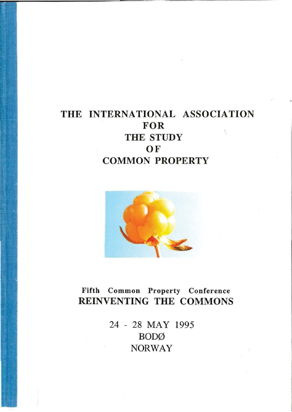# THE INTERNATIONAL ASSOCIATION FOR THE STUDY **OF** COMMON PROPERTY



# Fifth Common Property Conference REINVENTING THE COMMONS

24 - 28 MAY 1995 **BOD**Ø NORWAY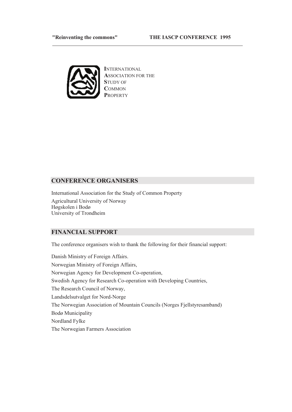#### **THE IASCP CONFERENCE 1995**<br>THE IASCP CONFERENCE 1995



**INTERNATIONAL ASSOCIATION FOR THE STUDY OF**  $\mathbf{COMMON}$ PROPERTY

<u> 1989 - Johann Barbara, marka a shekara tsa 1989 - An tsa 1989 - An tsa 1989 - An tsa 1989 - An tsa 1989 - An</u>

## **CONFERENCE ORGANISERS**

International Association for the Study of Common Property Agricultural University of Norway Høgskolen i Bodø University of Trondheim

## **FINANCIAL SUPPORT**

The conference organisers wish to thank the following for their financial support:

Danish Ministry of Foreign Affairs. Norwegian Ministry of Foreign Affairs, Norwegian Agency for Development Co-operation, Swedish Agency for Research Co-operation with Developing Countries, The Research Council of Norway, Landsdelsutvalget for Nord-Norge The Norwegian Association of Mountain Councils (Norges Fiellstyresamband) Bodø Municipality Nordland Fylke The Norwegian Farmers Association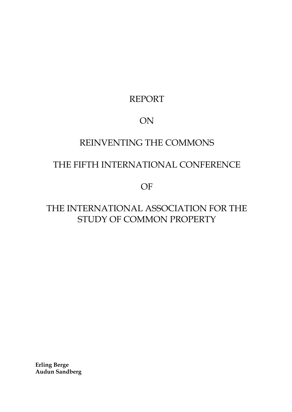# REPORT

# ON

# REINVENTING THE COMMONS

# THE FIFTH INTERNATIONAL CONFERENCE

OF

# THE INTERNATIONAL ASSOCIATION FOR THE STUDY OF COMMON PROPERTY

**Erling Berge Audun Sandberg**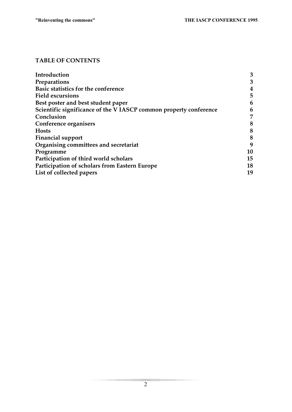## **TABLE OF CONTENTS**

| Introduction                                                     | 3  |
|------------------------------------------------------------------|----|
| Preparations                                                     | 3  |
| Basic statistics for the conference                              | 4  |
| <b>Field excursions</b>                                          | 5  |
| Best poster and best student paper                               | 6  |
| Scientific significance of the VIASCP common property conference | 6  |
| Conclusion                                                       | 7  |
| Conference organisers                                            | 8  |
| <b>Hosts</b>                                                     | 8  |
| <b>Financial support</b>                                         | 8  |
| Organising committees and secretariat                            | 9  |
| Programme                                                        | 10 |
| Participation of third world scholars                            | 15 |
| Participation of scholars from Eastern Europe                    | 18 |
| List of collected papers                                         | 19 |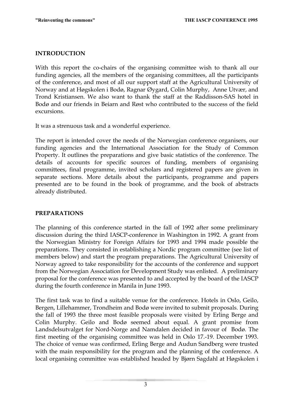## **INTRODUCTION**

With this report the co-chairs of the organising committee wish to thank all our funding agencies, all the members of the organising committees, all the participants of the conference, and most of all our support staff at the Agricultural University of Norway and at Høgskolen i Bodø, Ragnar Øygard, Colin Murphy, Anne Utvær, and Trond Kristiansen. We also want to thank the staff at the Raddisson-SAS hotel in Bodø and our friends in Beiarn and Røst who contributed to the success of the field excursions.

It was a strenuous task and a wonderful experience.

The report is intended cover the needs of the Norwegian conference organisers, our funding agencies and the International Association for the Study of Common Property. It outlines the preparations and give basic statistics of the conference. The details of accounts for specific sources of funding, members of organising committees, final programme, invited scholars and registered papers are given in separate sections. More details about the participants, programme and papers presented are to be found in the book of programme, and the book of abstracts already distributed.

## **PREPARATIONS**

The planning of this conference started in the fall of 1992 after some preliminary discussion during the third IASCP-conference in Washington in 1992. A grant from the Norwegian Ministry for Foreign Affairs for 1993 and 1994 made possible the preparations. They consisted in establishing a Nordic program committee (see list of members below) and start the program preparations. The Agricultural University of Norway agreed to take responsibility for the accounts of the conference and support from the Norwegian Association for Development Study was enlisted. A preliminary proposal for the conference was presented to and accepted by the board of the IASCP during the fourth conference in Manila in June 1993.

The first task was to find a suitable venue for the conference. Hotels in Oslo, Geilo, Bergen, Lillehammer, Trondheim and Bodø were invited to submit proposals. During the fall of 1993 the three most feasible proposals were visited by Erling Berge and Colin Murphy. Geilo and Bodø seemed about equal. A grant promise from Landsdelsutvalget for Nord-Norge and Namdalen decided in favour of Bodø. The first meeting of the organising committee was held in Oslo 17.-19. December 1993. The choice of venue was confirmed, Erling Berge and Audun Sandberg were trusted with the main responsibility for the program and the planning of the conference. A local organising committee was established headed by Bjørn Sagdahl at Høgskolen i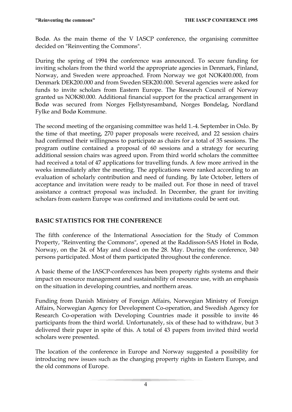Bodø. As the main theme of the V IASCP conference, the organising committee decided on "Reinventing the Commons".

During the spring of 1994 the conference was announced. To secure funding for inviting scholars from the third world the appropriate agencies in Denmark, Finland, Norway, and Sweden were approached. From Norway we got NOK400.000, from Denmark DEK200.000 and from Sweden SEK200.000. Several agencies were asked for funds to invite scholars from Eastern Europe. The Research Council of Norway granted us NOK80.000. Additional financial support for the practical arrangement in Bodø was secured from Norges Fjellstyresamband, Norges Bondelag, Nordland Fylke and Bodø Kommune.

The second meeting of the organising committee was held 1.-4. September in Oslo. By the time of that meeting, 270 paper proposals were received, and 22 session chairs had confirmed their willingness to participate as chairs for a total of 35 sessions. The program outline contained a proposal of 60 sessions and a strategy for securing additional session chairs was agreed upon. From third world scholars the committee had received a total of 47 applications for travelling funds. A few more arrived in the weeks immediately after the meeting. The applications were ranked according to an evaluation of scholarly contribution and need of funding. By late October, letters of acceptance and invitation were ready to be mailed out. For those in need of travel assistance a contract proposal was included. In December, the grant for inviting scholars from eastern Europe was confirmed and invitations could be sent out.

# **BASIC STATISTICS FOR THE CONFERENCE**

The fifth conference of the International Association for the Study of Common Property, "Reinventing the Commons", opened at the Raddisson-SAS Hotel in Bodø, Norway, on the 24. of May and closed on the 28. May. During the conference, 340 persons participated. Most of them participated throughout the conference.

A basic theme of the IASCP-conferences has been property rights systems and their impact on resource management and sustainability of resource use, with an emphasis on the situation in developing countries, and northern areas.

Funding from Danish Ministry of Foreign Affairs, Norwegian Ministry of Foreign Affairs, Norwegian Agency for Development Co-operation, and Swedish Agency for Research Co-operation with Developing Countries made it possible to invite 46 participants from the third world. Unfortunately, six of these had to withdraw, but 3 delivered their paper in spite of this. A total of 43 papers from invited third world scholars were presented.

The location of the conference in Europe and Norway suggested a possibility for introducing new issues such as the changing property rights in Eastern Europe, and the old commons of Europe.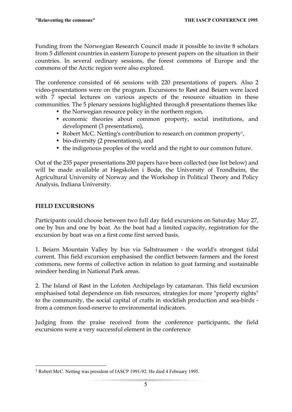Funding from the Norwegian Research Council made it possible to invite 8 scholars from 5 different countries in eastern Europe to present papers on the situation in their countries. In several ordinary sessions, the forest commons of Europe and the commons of the Arctic region were also explored.

The conference consisted of 66 sessions with 220 presentations of papers. Also 2 video-presentations were on the program. Excursions to Røst and Beiarn were laced with 7 special lectures on various aspects of the resource situation in these communities. The 5 plenary sessions highlighted through 8 presentations themes like

- the Norwegian resource policy in the northern region,
- economic theories about common property, social institutions, and development (3 presentations),
- Robert McC. Netting's contribution to research on common property<sup>1</sup>,
- bio-diversity (2 presentations), and
- the indigenous peoples of the world and the right to our common future.

Out of the 235 paper presentations 200 papers have been collected (see list below) and will be made available at Høgskolen i Bodø, the University of Trondheim, the Agricultural University of Norway and the Workshop in Political Theory and Policy Analysis, Indiana University.

## **FIELD EXCURSIONS**

1

Participants could choose between two full day field excursions on Saturday May 27, one by bus and one by boat. As the boat had a limited capacity, registration for the excursion by boat was on a first come first served basis.

1. Beiarn Mountain Valley by bus via Saltstraumen - the world's strongest tidal current. This field excursion emphasised the conflict between farmers and the forest commons, new forms of collective action in relation to goat farming and sustainable reindeer herding in National Park areas.

2. The Island of Røst in the Lofoten Archipelago by catamaran. This field excursion emphasised total dependence on fish resources, strategies for more "property rights" to the community, the social capital of crafts in stockfish production and sea-birds from a common food-reserve to environmental indicators.

Judging from the praise received from the conference participants, the field excursions were a very successful element in the conference

<sup>1</sup> Robert McC. Netting was president of IASCP 1991-92. He died 4 February 1995.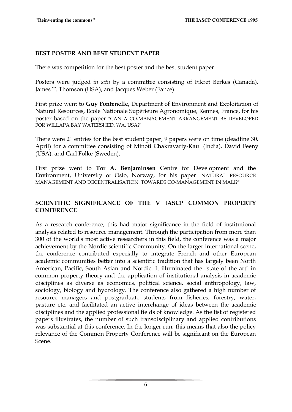## **BEST POSTER AND BEST STUDENT PAPER**

There was competition for the best poster and the best student paper.

Posters were judged *in situ* by a committee consisting of Fikret Berkes (Canada), James T. Thomson (USA), and Jacques Weber (Fance).

First prize went to **Guy Fontenelle,** Department of Environment and Exploitation of Natural Resources, Ecole Nationale Supérieure Agronomique, Rennes, France, for his poster based on the paper "CAN A CO-MANAGEMENT ARRANGEMENT BE DEVELOPED FOR WILLAPA BAY WATERSHED, WA, USA?"

There were 21 entries for the best student paper, 9 papers were on time (deadline 30. April) for a committee consisting of Minoti Chakravarty-Kaul (India), David Feeny (USA), and Carl Folke (Sweden).

First prize went to **Tor A. Benjaminsen** Centre for Development and the Environment, University of Oslo, Norway, for his paper "NATURAL RESOURCE MANAGEMENT AND DECENTRALISATION. TOWARDS CO-MANAGEMENT IN MALI?"

## **SCIENTIFIC SIGNIFICANCE OF THE V IASCP COMMON PROPERTY CONFERENCE**

As a research conference, this had major significance in the field of institutional analysis related to resource management. Through the participation from more than 300 of the world's most active researchers in this field, the conference was a major achievement by the Nordic scientific Community. On the larger international scene, the conference contributed especially to integrate French and other European academic communities better into a scientific tradition that has largely been North American, Pacific, South Asian and Nordic. It illuminated the "state of the art" in common property theory and the application of institutional analysis in academic disciplines as diverse as economics, political science, social anthropology, law, sociology, biology and hydrology. The conference also gathered a high number of resource managers and postgraduate students from fisheries, forestry, water, pasture etc. and facilitated an active interchange of ideas between the academic disciplines and the applied professional fields of knowledge. As the list of registered papers illustrates, the number of such transdisciplinary and applied contributions was substantial at this conference. In the longer run, this means that also the policy relevance of the Common Property Conference will be significant on the European Scene.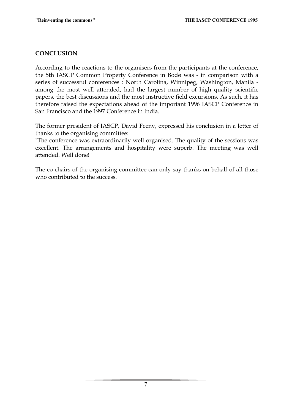## **CONCLUSION**

According to the reactions to the organisers from the participants at the conference, the 5th IASCP Common Property Conference in Bodø was - in comparison with a series of successful conferences : North Carolina, Winnipeg, Washington, Manila among the most well attended, had the largest number of high quality scientific papers, the best discussions and the most instructive field excursions. As such, it has therefore raised the expectations ahead of the important 1996 IASCP Conference in San Francisco and the 1997 Conference in India.

The former president of IASCP, David Feeny, expressed his conclusion in a letter of thanks to the organising committee:

"The conference was extraordinarily well organised. The quality of the sessions was excellent. The arrangements and hospitality were superb. The meeting was well attended. Well done!"

The co-chairs of the organising committee can only say thanks on behalf of all those who contributed to the success.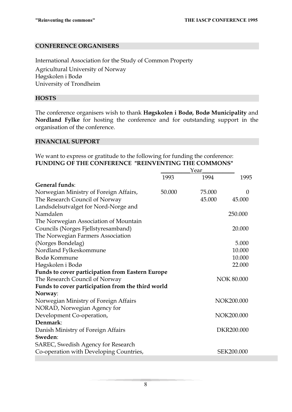## **CONFERENCE ORGANISERS**

International Association for the Study of Common Property Agricultural University of Norway Høgskolen i Bodø University of Trondheim

## **HOSTS**

The conference organisers wish to thank **Høgskolen i Bodø, Bodø Municipality** and **Nordland Fylke** for hosting the conference and for outstanding support in the organisation of the conference.

### **FINANCIAL SUPPORT**

We want to express or gratitude to the following for funding the conference: **FUNDING OF THE CONFERENCE "REINVENTING THE COMMONS"** 

|                                                         |        | Year   |                   |
|---------------------------------------------------------|--------|--------|-------------------|
|                                                         | 1993   | 1994   | 1995              |
| <b>General funds:</b>                                   |        |        |                   |
| Norwegian Ministry of Foreign Affairs,                  | 50.000 | 75.000 | $\Omega$          |
| The Research Council of Norway                          |        | 45.000 | 45.000            |
| Landsdelsutvalget for Nord-Norge and                    |        |        |                   |
| Namdalen                                                |        |        | 250.000           |
| The Norwegian Association of Mountain                   |        |        |                   |
| Councils (Norges Fjellstyresamband)                     |        |        | 20.000            |
| The Norwegian Farmers Association                       |        |        |                   |
| (Norges Bondelag)                                       |        |        | 5.000             |
| Nordland Fylkeskommune                                  |        |        | 10.000            |
| Bodø Kommune                                            |        |        | 10.000            |
| Høgskolen i Bodø                                        |        |        | 22.000            |
| <b>Funds to cover participation from Eastern Europe</b> |        |        |                   |
| The Research Council of Norway                          |        |        | <b>NOK 80.000</b> |
| Funds to cover participation from the third world       |        |        |                   |
| Norway:                                                 |        |        |                   |
| Norwegian Ministry of Foreign Affairs                   |        |        | NOK200.000        |
| NORAD, Norwegian Agency for                             |        |        |                   |
| Development Co-operation,                               |        |        | NOK200.000        |
| Denmark:                                                |        |        |                   |
| Danish Ministry of Foreign Affairs                      |        |        | DKR200.000        |
| Sweden:                                                 |        |        |                   |
| SAREC, Swedish Agency for Research                      |        |        |                   |
| Co-operation with Developing Countries,                 |        |        | SEK200.000        |
|                                                         |        |        |                   |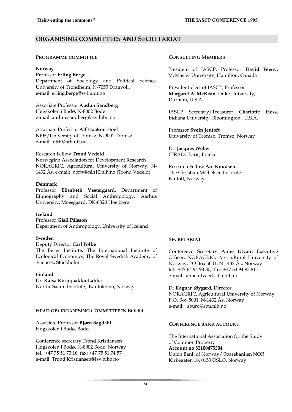## **ORGANISING COMMITTEES AND SECRETARIAT**

#### **PROGRAMME COMMITTEE**

#### **Norway**

Professor **Erling Berge** Department of Sociology and Political Science, University of Trondheim, N-7055 Dragvoll, e-mail: erling.berge@svf.unit.no

Associate Professor **Audun Sandberg** Høgskolen i Bodø, N-8002 Bodø e-mail: audun.sandberg@isv.hibo.no

Associate Professor **Alf Haakon Hoel** NFH/University of Tromsø, N-9001 Tromsø e-mail: alfh@nfh.uit.no

### Research Fellow **Trond Vedeld**

Norwegian Association for Development Research NORAGRIC, Agricultural University of Norway, N-1432 Ås, e-mail: nortv@nlh10.nlh.no (Trond Vedeld)

### **Denmark**

Professor **Elisabeth Vestergaard,** Department of Ethnography and Social Anthropology, Aarhus University, Moesgaard, DK-8320 Hoejbjerg

### **Iceland**

Professor **Gísli Pálsson** Department of Anthropology, University of Iceland

### **Sweden**

### Deputy Director **Carl Folke**

The Beijer Institute, The International Institute of Ecological Economics, The Royal Swedish Academy of Sciences, Stockholm

#### **Finland**

### Dr. **Kaisa Korpijaakko-Labba**

Nordic Saami Institute, Kautokeino, Norway

### **HEAD OF ORGANISING COMMITTEE IN BODØ**

Associate Professor **Bjørn Sagdahl** Høgskolen i Bodø, Bodø

Conference secretary Trond Kristiansen Høgskolen i Bodø, N-8002 Bodø, Norway tel.: +47 75 51 73 16 fax: +47 75 51 74 57 e-mail: Trond.Kristiansen@isv.hibo.no

#### **CONSULTING MEMBERS**

President of IASCP, Professor **David Feeny,**  McMaster University, Hamilton, Canada

President-elect of IASCP, Professor **Margaret A. McKean,** Duke University, Durham, U.S.A.

IASCP Secretary/Treasurer **Charlotte Hess,**  Indiana University, Bloomington , U.S.A.

Professor **Svein Jentoft**  University of Tromsø, Tromsø, Norway

Dr. **Jacques Weber** CIRAD, Paris, France

Research Fellow **Are Knudsen** The Christian Michelsen Institute Fantoft, Norway

### **SECRETARIAT**

Conference Secretary **Anne Utvær**, Executive Officer, NORAGRIC, Agricultural University of Norway, PO Box 5001, N-1432 Ås, Norway tel.: +47 64 94 93 80; fax: +47 64 94 93 81 e-mail: anne.utvaer@sbu.nlh.no

Dr **Ragnar Øygard,** Director NORAGRIC, Agricultural University of Norway P.O. Box 5001, N-1432 Ås, Norway e-mail: sburo@sbu.nlh.no

### **CONFERENCE BANK ACCOUNT**

The International Association for the Study of Common Property **Account no 82100475304** Union Bank of Norway/ Sparebanken NOR Kirkegaten 18, 0153 OSLO, Norway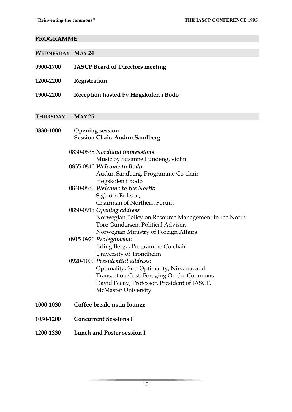# **PROGRAMME**

| <b>WEDNESDAY MAY 24</b> |                                                                                                                                                                                                                                                                                                                                                                                                                                                                                                                                                                                                                                                                                                                         |
|-------------------------|-------------------------------------------------------------------------------------------------------------------------------------------------------------------------------------------------------------------------------------------------------------------------------------------------------------------------------------------------------------------------------------------------------------------------------------------------------------------------------------------------------------------------------------------------------------------------------------------------------------------------------------------------------------------------------------------------------------------------|
| 0900-1700               | <b>IASCP Board of Directors meeting</b>                                                                                                                                                                                                                                                                                                                                                                                                                                                                                                                                                                                                                                                                                 |
| 1200-2200               | Registration                                                                                                                                                                                                                                                                                                                                                                                                                                                                                                                                                                                                                                                                                                            |
| 1900-2200               | Reception hosted by Høgskolen i Bodø                                                                                                                                                                                                                                                                                                                                                                                                                                                                                                                                                                                                                                                                                    |
| <b>THURSDAY</b>         | MAY 25                                                                                                                                                                                                                                                                                                                                                                                                                                                                                                                                                                                                                                                                                                                  |
| 0830-1000               | <b>Opening session</b><br><b>Session Chair: Audun Sandberg</b>                                                                                                                                                                                                                                                                                                                                                                                                                                                                                                                                                                                                                                                          |
|                         | 0830-0835 Nordland impressions<br>Music by Susanne Lundeng, violin.<br>0835-0840 Welcome to Bodø:<br>Audun Sandberg, Programme Co-chair<br>Høgskolen i Bodø<br>0840-0850 Welcome to the North:<br>Sigbjørn Eriksen,<br>Chairman of Northern Forum<br>0850-0915 Opening address<br>Norwegian Policy on Resource Management in the North<br>Tore Gundersen, Political Adviser,<br>Norwegian Ministry of Foreign Affairs<br>0915-0920 Prolegomena:<br>Erling Berge, Programme Co-chair<br>University of Trondheim<br>0920-1000 Presidential address:<br>Optimality, Sub-Optimality, Nirvana, and<br>Transaction Cost: Foraging On the Commons<br>David Feeny, Professor, President of IASCP,<br><b>McMaster University</b> |
| 1000-1030               | Coffee break, main lounge                                                                                                                                                                                                                                                                                                                                                                                                                                                                                                                                                                                                                                                                                               |
| 1030-1200               | <b>Concurrent Sessions I</b>                                                                                                                                                                                                                                                                                                                                                                                                                                                                                                                                                                                                                                                                                            |
| 1200-1330               | <b>Lunch and Poster session I</b>                                                                                                                                                                                                                                                                                                                                                                                                                                                                                                                                                                                                                                                                                       |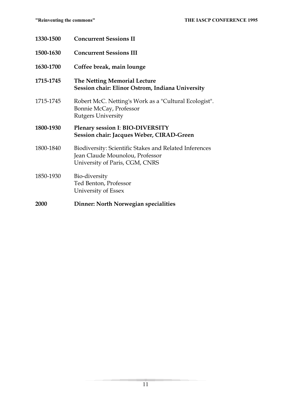| 1330-1500 | <b>Concurrent Sessions II</b>                                                                                               |
|-----------|-----------------------------------------------------------------------------------------------------------------------------|
| 1500-1630 | <b>Concurrent Sessions III</b>                                                                                              |
| 1630-1700 | Coffee break, main lounge                                                                                                   |
| 1715-1745 | The Netting Memorial Lecture<br>Session chair: Elinor Ostrom, Indiana University                                            |
| 1715-1745 | Robert McC. Netting's Work as a "Cultural Ecologist".<br>Bonnie McCay, Professor<br><b>Rutgers University</b>               |
| 1800-1930 | Plenary session I: BIO-DIVERSITY<br>Session chair: Jacques Weber, CIRAD-Green                                               |
|           |                                                                                                                             |
| 1800-1840 | Biodiversity: Scientific Stakes and Related Inferences<br>Jean Claude Mounolou, Professor<br>University of Paris, CGM, CNRS |
| 1850-1930 | Bio-diversity<br>Ted Benton, Professor<br>University of Essex                                                               |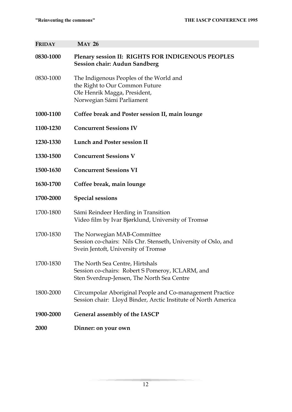**FRIDAY MAY 26** 

| 0830-1000 | Plenary session II: RIGHTS FOR INDIGENOUS PEOPLES<br>Session chair: Audun Sandberg                                                     |
|-----------|----------------------------------------------------------------------------------------------------------------------------------------|
| 0830-1000 | The Indigenous Peoples of the World and<br>the Right to Our Common Future<br>Ole Henrik Magga, President,<br>Norwegian Sámi Parliament |
| 1000-1100 | Coffee break and Poster session II, main lounge                                                                                        |
| 1100-1230 | <b>Concurrent Sessions IV</b>                                                                                                          |
| 1230-1330 | <b>Lunch and Poster session II</b>                                                                                                     |
| 1330-1500 | <b>Concurrent Sessions V</b>                                                                                                           |
| 1500-1630 | <b>Concurrent Sessions VI</b>                                                                                                          |
| 1630-1700 | Coffee break, main lounge                                                                                                              |
| 1700-2000 | <b>Special sessions</b>                                                                                                                |
| 1700-1800 | Sámi Reindeer Herding in Transition<br>Video film by Ivar Bjørklund, University of Tromsø                                              |
| 1700-1830 | The Norwegian MAB-Committee<br>Session co-chairs: Nils Chr. Stenseth, University of Oslo, and<br>Svein Jentoft, University of Tromsø   |
| 1700-1830 | The North Sea Centre, Hirtshals<br>Session co-chairs: Robert S Pomeroy, ICLARM, and<br>Sten Sverdrup-Jensen, The North Sea Centre      |
| 1800-2000 | Circumpolar Aboriginal People and Co-management Practice<br>Session chair: Lloyd Binder, Arctic Institute of North America             |
| 1900-2000 | General assembly of the IASCP                                                                                                          |
| 2000      | Dinner: on your own                                                                                                                    |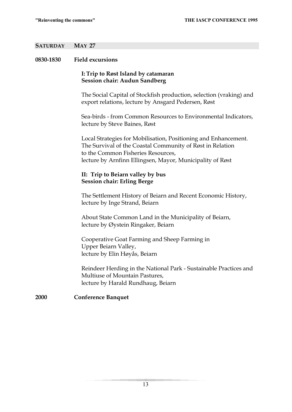## **SATURDAY MAY 27**

## **0830-1830 Field excursions**

## **I: Trip to Røst Island by catamaran Session chair: Audun Sandberg**

 The Social Capital of Stockfish production, selection (vraking) and export relations, lecture by Ansgard Pedersen, Røst

 Sea-birds - from Common Resources to Environmental Indicators, lecture by Steve Baines, Røst

 Local Strategies for Mobilisation, Positioning and Enhancement. The Survival of the Coastal Community of Røst in Relation to the Common Fisheries Resources, lecture by Arnfinn Ellingsen, Mayor, Municipality of Røst

## **II: Trip to Beiarn valley by bus Session chair: Erling Berge**

 The Settlement History of Beiarn and Recent Economic History, lecture by Inge Strand, Beiarn

 About State Common Land in the Municipality of Beiarn, lecture by Øystein Ringaker, Beiarn

 Cooperative Goat Farming and Sheep Farming in Upper Beiarn Valley, lecture by Elin Høyås, Beiarn

 Reindeer Herding in the National Park - Sustainable Practices and Multiuse of Mountain Pastures, lecture by Harald Rundhaug, Beiarn

## **2000 Conference Banquet**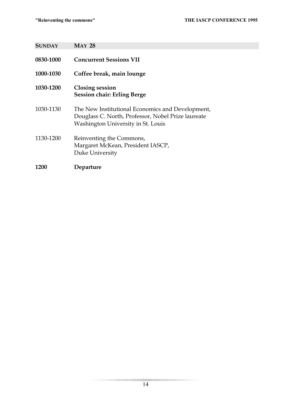**SUNDAY MAY 28** 

| 0830-1000 | <b>Concurrent Sessions VII</b>                                                                                                               |
|-----------|----------------------------------------------------------------------------------------------------------------------------------------------|
| 1000-1030 | Coffee break, main lounge                                                                                                                    |
| 1030-1200 | <b>Closing session</b><br><b>Session chair: Erling Berge</b>                                                                                 |
| 1030-1130 | The New Institutional Economics and Development,<br>Douglass C. North, Professor, Nobel Prize laureate<br>Washington University in St. Louis |
| 1130-1200 | Reinventing the Commons,<br>Margaret McKean, President IASCP,<br>Duke University                                                             |
| 1200      | Departure                                                                                                                                    |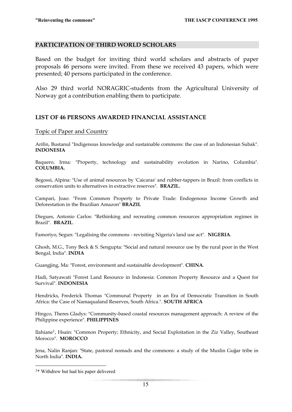## **PARTICIPATION OF THIRD WORLD SCHOLARS**

Based on the budget for inviting third world scholars and abstracts of paper proposals 46 persons were invited. From these we received 43 papers, which were presented; 40 persons participated in the conference.

Also 29 third world NORAGRIC-students from the Agricultural University of Norway got a contribution enabling them to participate.

## **LIST OF 46 PERSONS AWARDED FINANCIAL ASSISTANCE**

## Topic of Paper and Country

Arifin, Bustanul "Indigenous knowledge and sustainable commons: the case of an Indonesian Subak". **INDONESIA**

Baquero, Irma: "Property, technology and sustainability evolution in Narino, Columbia". **COLUMBIA.**

Begossi, Alpina: "Use of animal resources by 'Caicaras' and rubber-tappers in Brazil: from conflicts in conservation units to alternatives in extractive reserves". **BRAZIL.**

Campari, Joao: "From Common Property to Private Trade: Endogenous Income Growth and Deforestation in the Brazilian Amazon" **BRAZIL**

Diegues, Antonio Carlos: "Rethinking and recreating common resources appropriation regimes in Brazil". **BRAZIL**.

Famoriyo, Segun: "Legalising the commons - revisiting Nigeria's land use act". **NIGERIA**.

Ghosh, M.G., Tony Beck & S. Sengupta: "Social and natural resource use by the rural poor in the West Bengal, India". **INDIA** 

Guangjing, Ma: "Forest, environment and sustainable development". **CHINA**.

Hadi, Satyawati "Forest Land Resource in Indonesia: Common Property Resource and a Quest for Survival". **INDONESIA** 

Hendricks, Frederick Thomas "Communal Property in an Era of Democratic Transition in South Africa: the Case of Namaqualand Reserves, South Africa.". **SOUTH AFRICA**

Hingco, Theres Gladys: "Community-based coastal resources management approach: A review of the Philippine experience". **PHILIPPINES** 

Ilahiane1, Hsain: "Common Property; Ethnicity, and Social Exploitation in the Ziz Valley, Southeast Morocco". **MOROCCO**

Jena, Nalin Ranjan: "State, pastoral nomads and the commons: a study of the Muslin Gujjar tribe in North India". **INDIA.** 

<sup>1\*</sup> Withdrew but had his paper delivered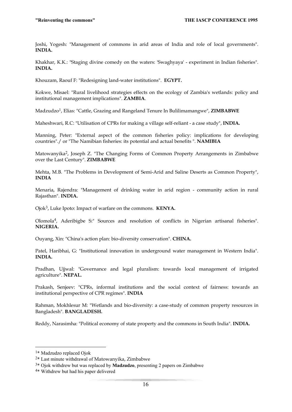Joshi, Yogesh: "Management of commons in arid areas of India and role of local governments". **INDIA.**

Khakhar, K.K.: "Staging divine comedy on the waters: 'Swaghyaya' - experiment in Indian fisheries". **INDIA.** 

Khouzam, Raouf F: "Redesigning land-water institutions". **EGYPT.**

Kokwe, Misael: "Rural livelihood strategies effects on the ecology of Zambia's wetlands: policy and institutional management implications". **ZAMBIA**.

Madzudzo1, Elias: "Cattle, Grazing and Rangeland Tenure In Bulilimamangwe", **ZIMBABWE**

Maheshwari, R.C: "Utilisation of CPRs for making a village self-reliant - a case study", **INDIA.**

Manning, Peter: "External aspect of the common fisheries policy: implications for developing countries"./ or "The Namibian fisheries: its potential and actual benefits ". **NAMIBIA**

Matowanyika<sup>2</sup>, Joseph Z. "The Changing Forms of Common Property Arrangements in Zimbabwe over the Last Century". **ZIMBABWE**

Mehta, M.B. "The Problems in Development of Semi-Arid and Saline Deserts as Common Property", **INDIA**

Menaria, Rajendra: "Management of drinking water in arid region - community action in rural Rajasthan". **INDIA.**

Ojok3, Luke Ipoto: Impact of warfare on the commons. **KENYA.**

Olomola4, Aderibigbe S:" Sources and resolution of conflicts in Nigerian artisanal fisheries". **NIGERIA.**

Ouyang, Xin: "China's action plan: bio-diversity conservation". **CHINA.**

Patel, Haribhai, G: "Institutional innovation in underground water management in Western India". **INDIA.**

Pradhan, Ujjwal: "Governance and legal pluralism: towards local management of irrigated agriculture". **NEPAL.** 

Prakash, Senjeev: "CPRs, informal institutions and the social context of fairness: towards an institutional perspective of CPR regimes". **INDIA** 

Rahman, Mokhlesur M: "Wetlands and bio-diversity: a case-study of common property resources in Bangladesh". **BANGLADESH.**

Reddy, Narasimha: "Political economy of state property and the commons in South India". **INDIA.** 

<sup>1\*</sup> Madzudzo replaced Ojok

<sup>2\*</sup> Last minute withdrawal of Matowanyika, Zimbabwe

<sup>3\*</sup> Ojok withdrew but was replaced by **Madzudzo**, presenting 2 papers on Zimbabwe

<sup>4\*</sup> Withdrew but had his paper delivered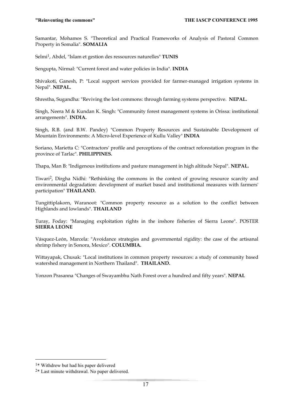Samantar, Mohamos S. "Theoretical and Practical Frameworks of Analysis of Pastoral Common Property in Somalia". **SOMALIA**

Selmi1, Abdel, "Islam et gestion des ressources naturelles" **TUNIS** 

Sengupta, Nirmal: "Current forest and water policies in India". **INDIA**

Shivakoti, Ganesh, P: "Local support services provided for farmer-managed irrigation systems in Nepal". **NEPAL.** 

Shrestha, Sugandha: "Reviving the lost commons: through farming systems perspective. **NEPAL.** 

Singh, Neera M & Kundan K. Singh: "Community forest management systems in Orissa: institutional arrangements". **INDIA.** 

Singh, R.B. (and B.W. Pandey) "Common Property Resources and Sustainable Development of Mountain Environments: A Micro-level Experience of Kullu Valley" **INDIA**

Soriano, Marietta C: "Contractors' profile and perceptions of the contract reforestation program in the province of Tarlac". **PHILIPPINES.**

Thapa, Man B: "Indigenous institutions and pasture management in high altitude Nepal". **NEPAL.** 

Tiwari2, Dirgha Nidhi: "Rethinking the commons in the context of growing resource scarcity and environmental degradation: development of market based and institutional measures with farmers' participation" **THAILAND.** 

Tungittiplakorn, Waranoot: "Common property resource as a solution to the conflict between Highlands and lowlands". **THAILAND** 

Turay, Foday: "Managing exploitation rights in the inshore fisheries of Sierra Leone". POSTER **SIERRA LEONE** 

Vásquez-León, Marcela: "Avoidance strategies and governmental rigidity: the case of the artisanal shrimp fishery in Sonora, Mexico". **COLUMBIA.**

Wittayapak, Chusak: "Local institutions in common property resources: a study of community based watershed management in Northern Thailand". **THAILAND.**

Yonzon Prasanna "Changes of Swayambhu Nath Forest over a hundred and fifty years". **NEPAL** 

<sup>1\*</sup> Withdrew but had his paper delivered

<sup>2\*</sup> Last minute withdrawal. No paper delivered.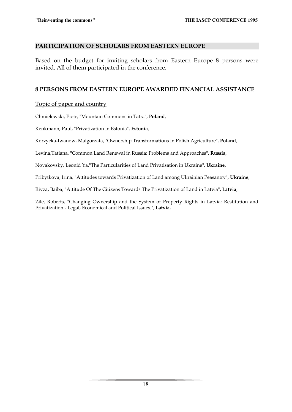## **PARTICIPATION OF SCHOLARS FROM EASTERN EUROPE**

Based on the budget for inviting scholars from Eastern Europe 8 persons were invited. All of them participated in the conference.

## **8 PERSONS FROM EASTERN EUROPE AWARDED FINANCIAL ASSISTANCE**

## Topic of paper and country

Chmielewski, Piotr, "Mountain Commons in Tatra", **Poland**,

Kenkmann, Paul, "Privatization in Estonia", **Estonia**,

Korzycka-Iwanow, Malgorzata, "Ownership Transformations in Polish Agriculture", **Poland**,

Levina,Tatiana, "Common Land Renewal in Russia: Problems and Approaches", **Russia**,

Novakovsky, Leonid Ya."The Particularities of Land Privatisation in Ukraine", **Ukraine**,

Pribytkova, Irina, "Attitudes towards Privatization of Land among Ukrainian Peasantry", **Ukraine**,

Rivza, Baiba, "Attitude Of The Citizens Towards The Privatization of Land in Latvia", **Latvia**,

Zile, Roberts, "Changing Ownership and the System of Property Rights in Latvia: Restitution and Privatization - Legal, Economical and Political Issues.", **Latvia**,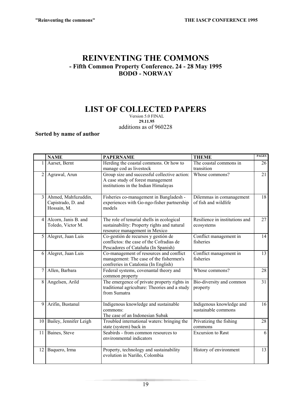# **REINVENTING THE COMMONS - Fifth Common Property Conference. 24 - 28 May 1995 BODØ - NORWAY**

# **LIST OF COLLECTED PAPERS**

Version 5.0 FINAL  **29.11.95**  additions as of 960228

**Sorted by name of author** 

|                 | <b>NAME</b>                                              | <b>PAPERNAME</b>                                                                                                           | <b>THEME</b>                                     | <b>PAGES</b> |
|-----------------|----------------------------------------------------------|----------------------------------------------------------------------------------------------------------------------------|--------------------------------------------------|--------------|
|                 | Aarset, Bernt                                            | Herding the coastal commons. Or how to<br>manage cod as livestock                                                          | The coastal commons in<br>transition             | 26           |
| $\overline{2}$  | Agrawal, Arun                                            | Group size and successful collective action:<br>A case study of forest management<br>institutions in the Indian Himalayas  | Whose commons?                                   | 21           |
| $\overline{3}$  | Ahmed, Mahfuzuddin,<br>Capistrado, D. and<br>Hossain, M. | Fisheries co-management in Bangladesh -<br>experiences with Go-ngo-fisher partnership<br>models                            | Dilemmas in comanagement<br>of fish and wildlife | 18           |
| $\overline{4}$  | Alcorn, Janis B. and<br>Toledo, Victor M.                | The role of tenurial shells in ecological<br>sustainability: Property rights and natural<br>resource management in Mexico  | Resilience in institutions and<br>ecosystems     | 27           |
| 5 <sup>1</sup>  | Alegret, Juan Luis                                       | Co-gestión de recursos y gestión de<br>conflictos: the case of the Cofradias de<br>Pescadores of Cataluña (In Spanish)     | Conflict management in<br>fisheries              | 14           |
| 6               | Alegret, Juan Luis                                       | Co-management of resources and conflict<br>management: The case of the fishermen's<br>confreries in Catalonia (In English) | Conflict management in<br>fisheries              | 13           |
| $\tau$          | Allen, Barbara                                           | Federal systems, covenantal theory and<br>common property                                                                  | Whose commons?                                   | 28           |
| 8               | Angelsen, Arild                                          | The emergence of private property rights in<br>traditional agriculture: Theories and a study<br>from Sumatra               | Bio-diversity and common<br>property             | 31           |
| 9               | Arifin, Bustanul                                         | Indigenous knowledge and sustainable<br>commons:<br>The case of an Indonesian Subak                                        | Indigenous knowledge and<br>sustainable commons  | 16           |
| 10              | Bailey, Jennifer Leigh                                   | Troubled international waters: bringing the<br>state (system) back in                                                      | Privatizing the fishing<br>commons               | 28           |
| 11 <sup>1</sup> | Baines, Steve                                            | Seabirds - from common resources to<br>environmental indicators                                                            | <b>Excursion</b> to Røst                         | 6            |
| 12              | Baquero, Irma                                            | Property, technology and sustainability<br>evolution in Nariño, Colombia                                                   | History of environment                           | 13           |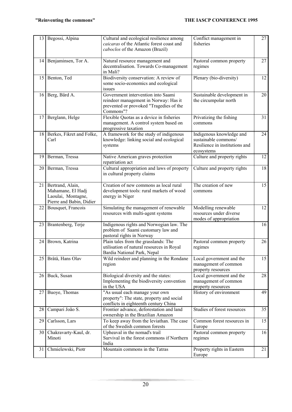| 13              | Begossi, Alpina                                                                         | Cultural and ecological resilience among<br>caicaras of the Atlantic forest coast and<br>caboclos of the Amazon (Brazil)            | Conflict management in<br>fisheries                                                              | 27 |
|-----------------|-----------------------------------------------------------------------------------------|-------------------------------------------------------------------------------------------------------------------------------------|--------------------------------------------------------------------------------------------------|----|
|                 | 14 Benjaminsen, Tor A.                                                                  | Natural resource management and<br>decentralisation. Towards Co-management<br>in Mali?                                              | Pastoral common property<br>regimes                                                              | 27 |
| 15              | Benton, Ted                                                                             | Biodiversity conservation: A review of<br>some socio-economics and ecological<br>issues                                             | Plenary (bio-diversity)                                                                          | 12 |
|                 | 16 Berg, Bård A.                                                                        | Government intervention into Saami<br>reindeer management in Norway: Has it<br>prevented or provoked "Tragedies of the<br>Commons"? | Sustainable development in<br>the circumpolar north                                              | 20 |
| 17              | Berglann, Helge                                                                         | Flexible Quotas as a device in fisheries<br>management. A control system based on<br>progressive taxation                           | Privatizing the fishing<br>commons                                                               | 31 |
|                 | 18 Berkes, Fikret and Folke,<br>Carl                                                    | A framework for the study of indigenous<br>knowledge: linking social and ecological<br>systems                                      | Indigenous knowledge and<br>sustainable commons/<br>Resilience in institutions and<br>ecosystems | 24 |
| 19              | Berman, Tressa                                                                          | Native American graves protection<br>repatriation act                                                                               | Culture and property rights                                                                      | 12 |
| 20              | Berman, Tressa                                                                          | Cultural appropriation and laws of property<br>in cultural property claims                                                          | Culture and property rights                                                                      | 18 |
| 21              | Bertrand, Alain,<br>Mahamane, El Hadj<br>Laoulai, Montagne,<br>Pierre and Babin, Didier | Creation of new commons as local rural<br>development tools: rural markets of wood<br>energy in Niger                               | The creation of new<br>commons                                                                   | 15 |
| 22              | Bousquet, Francois                                                                      | Simulating the management of renewable<br>resources with multi-agent systems                                                        | Modelling renewable<br>resources under diverse<br>modes of appropriation                         | 12 |
| 23              | Brantenberg, Terje                                                                      | Indigenous rights and Norwegian law. The<br>problem of Saami customary law and<br>pastoral rights in Norway                         |                                                                                                  | 16 |
| 24              | Brown, Katrina                                                                          | Plain tales from the grasslands: The<br>utilisation of natural resources in Royal<br>Bardia National Park, Nepal                    | Pastoral common property<br>regimes                                                              | 26 |
| 25              | Bråtå, Hans Olav                                                                        | Wild reindeer and planning in the Rondane<br>region                                                                                 | Local government and the<br>management of common<br>property resources                           | 15 |
| 26              | Buck, Susan                                                                             | Biological diversity and the states:<br>Implementing the biodiversity convention<br>in the USA                                      | Local government and the<br>management of common<br>property resources                           | 28 |
| 271             | Buoye, Thomas                                                                           | "As usual each manage your own<br>property": The state, property and social<br>conflicts in eighteenth century China                | History of environment                                                                           | 49 |
| 28              | Campari João S.                                                                         | Frontier advance, deforestation and land<br>ownership in the Brazilian Amazon                                                       | Studies of forest resources                                                                      | 35 |
| 29              | Carlsson, Lars                                                                          | To keep away from the leviathan. The case<br>of the Swedish common forests                                                          | Common forest resources in<br>Europe                                                             | 15 |
| 30 <sup>1</sup> | Chakravarty-Kaul, dr.<br>Minoti                                                         | Upheaval in the nomad's trail<br>Survival in the forest commons if Northern<br>India                                                | Pastoral common property<br>regimes                                                              | 16 |
| 31              | Chmielewski, Piotr                                                                      | Mountain commons in the Tatras                                                                                                      | Property rights in Eastern<br>Europe                                                             | 21 |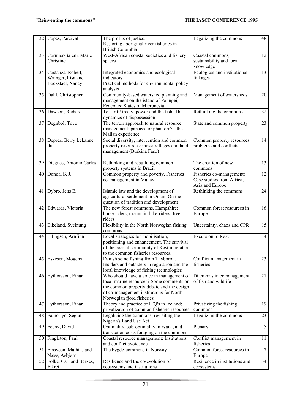| 32              | Copes, Parzival                                            | The profits of justice:<br>Restoring aboriginal river fisheries in<br>British Columbia                                                                                                                     | Legalizing the commons                                                   | 48             |
|-----------------|------------------------------------------------------------|------------------------------------------------------------------------------------------------------------------------------------------------------------------------------------------------------------|--------------------------------------------------------------------------|----------------|
| 33              | Cormier-Salem, Marie<br>Christine                          | West-African coastal societies and fishery<br>spaces                                                                                                                                                       | Coastal commons,<br>sustainability and local<br>knowledge                | 12             |
| 34              | Costanza, Robert,<br>Wainger, Lisa and<br>Bockstael, Nancy | Integrated economics and ecological<br>indicators<br>Practical methods for environmental policy<br>analysis                                                                                                | Ecological and institutional<br>linkages                                 | 13             |
| 35              | Dahl, Christopher                                          | Community-based watershed planning and<br>management on the island of Pohnpei,<br>Federated States of Micronesia                                                                                           | Management of watersheds                                                 | 20             |
| 36 <sup>1</sup> | Dawson, Richard                                            | Te Tiriti/ treaty, power and the fish: The<br>dynamics of dispossession                                                                                                                                    | Rethinking the commons                                                   | 32             |
| 37              | Degnbol, Tove                                              | The terroir approach to natural resource<br>management: panacea or phantom? - the<br>Malian experience                                                                                                     | State and common property                                                | 23             |
| 38              | Deprez, Berry Lekanne<br>dit                               | Social diversity, intervention and common<br>property resources: mossi villages and land<br>management (Burkina Faso)                                                                                      | Common property resources:<br>problems and conflicts                     | 14             |
| 39              | Diegues, Antonio Carlos                                    | Rethinking and rebuilding common<br>property systems in Brazil                                                                                                                                             | The creation of new<br>commons                                           | 13             |
| 40              | Donda, S. J.                                               | Common property and poverty. Fisheries<br>co-management in Malawi                                                                                                                                          | Fisheries co-management:<br>Case studies from Africa,<br>Asia and Europe | 12             |
| 41              | Dybro, Jens E.                                             | Islamic law and the development of<br>agricultural settlement in Oman. On the<br>question of tradition and development                                                                                     | Rethinking the commons                                                   | 24             |
| 42              | Edwards, Victoria                                          | The new forest commons, Hampshire:<br>horse-riders, mountain bike-riders, free-<br>riders                                                                                                                  | Common forest resources in<br>Europe                                     | 16             |
| 43              | Eikeland, Sveinung                                         | Flexibility in the North Norwegian fishing<br>commons                                                                                                                                                      | Uncertainty, chaos and CPR                                               | 15             |
| 44              | Ellingsen, Arnfinn                                         | Local strategies for mobilisation,<br>positioning and enhancement. The survival<br>of the coastal community of Røst in relation<br>to the common fisheries resources.                                      | <b>Excursion</b> to Røst                                                 | 4              |
| 45              | Eskesen, Mogens                                            | Danish seine fishing from Thyborøn.<br>Insiders and outsiders in regulation and the<br>local knowledge of fishing technologies                                                                             | Conflict management in<br>fisheries                                      | 23             |
| 46              | Eythórsson, Einar                                          | Who should have a voice in management of<br>local marine resources? Some comments on<br>the common property debate and the design<br>of co-management institutions for North-<br>Norwegian fjord fisheries | Dilemmas in comanagement<br>of fish and wildlife                         | 21             |
| 47              | Eythórsson, Einar                                          | Theory and practice of ITQ's in Iceland;<br>privatization of common fisheries resources                                                                                                                    | Privatizing the fishing<br>commons                                       | 19             |
| 48              | Famoriyo, Segun                                            | Legalizing the commons, revisiting the<br>Nigeria's Land Use Act                                                                                                                                           | Legalizing the commons                                                   | 23             |
| 49              | Feeny, David                                               | Optimality, sub-optimality, nirvana, and<br>transaction costs foraging on the commons                                                                                                                      | Plenary                                                                  | $\overline{5}$ |
| 50              | Fingleton, Paul                                            | Coastal resource management: Institutions<br>and conflict avoidance                                                                                                                                        | Conflict management in<br>fisheries                                      | 11             |
|                 | 51 Finsveen, Mathias and<br>Næss, Asbjørn                  | The bygde-commons in Norway                                                                                                                                                                                | Common forest resources in<br>Europe                                     | $\tau$         |
| 52              | Folke, Carl and Berkes,<br>Fikret                          | Resilience and the co-evolution of<br>ecosystems and institutions                                                                                                                                          | Resilience in institutions and<br>ecosystems                             | 34             |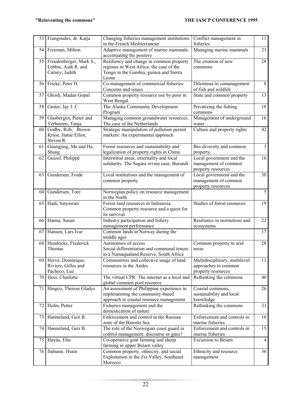| 53              | Frangoudes, dr. Katja                                            | Changing fisheries management institutions<br>in the French Mediterranean                                                              | Conflict management in<br>fisheries                                         | 11                      |
|-----------------|------------------------------------------------------------------|----------------------------------------------------------------------------------------------------------------------------------------|-----------------------------------------------------------------------------|-------------------------|
| 54              | Freeman, Milton                                                  | Adaptive management of marine mammals:<br>accentuating the positive                                                                    | Managing marine mammals                                                     | 21                      |
| 55              | Freudenberger, Mark S.,<br>Lebbie, Aiah R. and<br>Carney, Judith | Resiliency and change in common property<br>regimes in West Africa: the case of the<br>Tongo in the Gambia, guinea and Sierra<br>Leone | The creation of new<br>commons                                              | 28                      |
|                 | 56 Fricke, Peter H.                                              | Co-management of commercial fisheries:<br>Concerns and issues                                                                          | Dilemmas in comanagement<br>of fish and wildlife                            | 8                       |
| 57              | Ghosh, Madan Gopal                                               | Common property resource use by poor in<br>West Bengal                                                                                 | State and common property                                                   | $\overline{13}$         |
| 58              | Ginter, Jay J. C.                                                | The Alaska Community Development<br>Program                                                                                            | Privatizing the fishing<br>commons                                          | 18                      |
| 59              | Glasbergen, Pieter and<br>Verbeeten, Tanja                       | Managing common groundwater resources.<br>The case of the Netherlands                                                                  | Management of underground<br>water                                          | 16                      |
| 60              | Godby, Rob, Brown-<br>Kruse, Jamie Elliot,<br>Steven R.          | Strategic manipulation of pollution permit<br>markets: An experimental approach                                                        | Culture and property rights                                                 | 42                      |
| 61              | Guangjing, Ma and He,<br>Shang                                   | Forest resources and sustainability and<br>legalization of property rights in China                                                    | Bio-diversity and common<br>property                                        | $\overline{\mathbf{3}}$ |
| 62              | Guizol, Philippe                                                 | Interstitial areas, externality and local<br>solidarity. The Sagara revine case, Burundi                                               | Local government and the<br>management of common<br>property resources      | 16                      |
| 63              | Gundersen, Frode                                                 | Local institutions and the management of<br>common property                                                                            | Local government and the<br>management of common<br>property resources      | 30                      |
| 64              | Gundersen, Tore                                                  | Norwegian policy on resource management<br>in the North                                                                                |                                                                             | $\overline{5}$          |
|                 | 65 Hadi, Satyawati                                               | Forest land resources in Indonesia:<br>Common property resource and a quest for<br>its survival                                        | Studies of forest resources                                                 | 19                      |
| 66 <b> </b>     | Hanna, Susan                                                     | Industry participation and fishery<br>management performance                                                                           | Resilience in institutions and<br>ecosystems                                | 22                      |
| 67              | Hansen, Lars Ivar                                                | Common lands in Norway during the<br>middle ages                                                                                       |                                                                             | 17                      |
| 68              | Hendricks, Frederick<br>Thomas                                   | Antinomies of access<br>Social differentiation and communal tenure<br>in a Namaqualand Reserve, South Africa                           | Common property in arid<br>areas                                            | 28                      |
|                 | 69 Hervé, Dominique,<br>Riviere, Gilles and<br>Pacheco, Luz      | Communities and collective usage of land<br>resources in the Andes                                                                     | Multidisciplinary, multilevel<br>approaches to common<br>property resources | 11                      |
| 70 <sup>1</sup> | Hess, Charlotte                                                  | The virtual CPR: The internet as a local and<br>global common pool resource                                                            | Rethinking the commons                                                      | 40                      |
| 71              | Hingco, Therese Gladys                                           | An assessment of Philippine experience in<br>implementing the community-based<br>approach to coastal resource management               | Coastal commons,<br>sustainability and local<br>knowledge                   | 26                      |
| 72              | Holm, Petter                                                     | Fisheries management and the<br>domestication of nature                                                                                | Rethinking the commons                                                      | 31                      |
| 73              | Hønneland, Geir B.                                               | Enforcement and control in the Russian<br>zone of the Barents Sea                                                                      | Enforcement and controls in<br>marine fisheries                             | 10                      |
| 74              | Hønneland, Geir B.                                               | The role of the Norwegian coast guard in<br>control management: discourse or guns?                                                     | Enforcement and controls in<br>marine fisheries                             | 15                      |
| 75              | Høyås, Elin                                                      | Co-operative goat farming and sheep<br>farming in upper Beiarn valley                                                                  | <b>Excursion</b> to Beiarn                                                  | $\overline{4}$          |
| 76              | Ilahiane, Hsain                                                  | Common property, ethnicity, and social<br>Exploitation in the Ziz Valley, Southeast<br>Morocco                                         | Ethnicity and resource<br>management                                        | 36                      |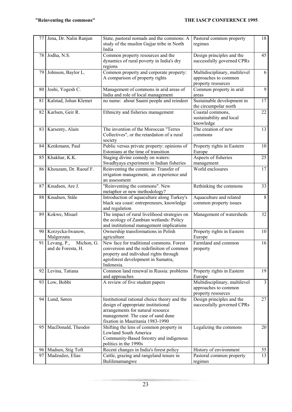| 77 | Jena, Dr. Nalin Ranjan                          | State, pastoral nomads and the commons: A<br>study of the muslim Gujjar tribe in North<br>India                                                                                                   | Pastoral common property<br>regimes                                         | 18             |
|----|-------------------------------------------------|---------------------------------------------------------------------------------------------------------------------------------------------------------------------------------------------------|-----------------------------------------------------------------------------|----------------|
| 78 | Jodha, N.S.                                     | Common property resources and the<br>dynamics of rural poverty in India's dry<br>regions                                                                                                          | Design principles and the<br>successfully governed CPRs                     | 45             |
| 79 | Johnson, Baylor L.                              | Common property and corporate property:<br>A comparison of property rights                                                                                                                        | Multidisciplinary, multilevel<br>approaches to common<br>property resources | 6              |
| 80 | Joshi, Yogesh C.                                | Management of commons in arid areas of<br>India and role of local management                                                                                                                      | Common property in arid<br>areas                                            | 9              |
| 81 | Kalstad, Johan Klemet                           | no name: about Saami people and reindeer                                                                                                                                                          | Sustainable development in<br>the circumpolar north                         | 17             |
| 82 | Karlsen, Geir R.                                | Ethnicity and fisheries management                                                                                                                                                                | Coastal commons,<br>sustainability and local<br>knowledge                   | 22             |
| 83 | Karsenty, Alain                                 | The invention of the Moroccan "Terres<br>Collectives", or the retardation of a rural<br>society                                                                                                   | The creation of new<br>commons                                              | 13             |
| 84 | Kenkmann, Paul                                  | Public versus private property: opinions of<br>Estonians at the time of transition                                                                                                                | Property rights in Eastern<br>Europe                                        | 10             |
| 85 | Khakhar, K.K.                                   | Staging divine comedy on waters:<br>Swadhyaya experiment in Indian fisheries                                                                                                                      | Aspects of fisheries<br>management                                          | 25             |
| 86 | Khouzam, Dr. Raouf F.                           | Reinventing the commons: Transfer of<br>irrigation management, an experience and<br>an assessment                                                                                                 | World enclosures                                                            | 17             |
| 87 | Knudsen, Are J.                                 | "Reinventing the commons". New<br>metaphor or new methodology?                                                                                                                                    | Rethinking the commons                                                      | 33             |
| 88 | Knudsen, Ståle                                  | Introduction of aquaculture along Turkey's<br>black sea coast: entrepreneurs, knowledge<br>and regulation                                                                                         | Aquaculture and related<br>common property issues                           | 8              |
| 89 | Kokwe, Misael                                   | The impact of rural livelihood strategies on<br>the ecology of Zambian wetlands: Policy<br>and institutional management implications                                                              | Management of watersheds                                                    | 32             |
| 90 | Korzycka-Iwanow,<br>Malgorzata                  | Ownership transformations in Polish<br>agriculture                                                                                                                                                | Property rights in Eastern<br>Europe                                        | 10             |
| 91 | Levang, P.,<br>Michon, G.<br>and de Foresta, H. | New face for traditional commons. Forest<br>conversion and the redefinition of common<br>property and individual rights through<br>agroforest development in Sumatra,<br>Indonesia.               | Farmland and common<br>property                                             | 16             |
| 92 | Levina, Tatiana                                 | Common land renewal in Russia: problems<br>and approaches                                                                                                                                         | Property rights in Eastern<br>Europe                                        | 19             |
| 93 | Low, Bobbi                                      | A review of five student papers                                                                                                                                                                   | Multidisciplinary, multilevel<br>approaches to common<br>property resources | $\overline{3}$ |
| 94 | Lund, Søren                                     | Institutional rational choice theory and the<br>design of appropriate institutional<br>arrangements for natural resource<br>management: The case of sand dune<br>fixation in Mauritania 1983-1990 | Design principles and the<br>successfully governed CPRs                     | 27             |
| 95 | MacDonald, Theodor                              | Shifting the lens of common property in<br>Lowland South America<br>Community-Based forestry and indigenous<br>politics in the 1990s                                                              | Legalizing the commons                                                      | 20             |
|    | 96 Madsen, Stig Toft                            | Recent changes in India's forest policy                                                                                                                                                           | History of environment                                                      | 55             |
| 97 | Madzudzo, Elias                                 | Cattle, grazing and rangeland tenure in<br>Bulilimamangwe                                                                                                                                         | Pastoral common property<br>regimes                                         | 13             |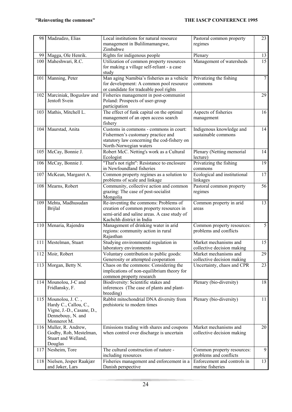| 98  | Madzudzo, Elias                                                                                                | Local institutions for natural resource<br>management in Bulilimamangwe,<br>Zimbabwe                                                                          | Pastoral common property<br>regimes                  | 23              |
|-----|----------------------------------------------------------------------------------------------------------------|---------------------------------------------------------------------------------------------------------------------------------------------------------------|------------------------------------------------------|-----------------|
| 99  | Magga, Ole Henrik.                                                                                             | Rights for indigenous people                                                                                                                                  | Plenary                                              | 13              |
| 100 | Maheshwari, R.C.                                                                                               | Utilization of common property resources<br>for making a village self-reliant - a case<br>study                                                               | Management of watersheds                             | $\overline{15}$ |
|     | 101 Manning, Peter                                                                                             | Man aging Namibia's fisheries as a vehicle<br>for development: A common pool resource<br>or candidate for tradeable pool rights                               | Privatizing the fishing<br>commons                   | $\overline{7}$  |
|     | 102 Marciniak, Boguslaw and<br>Jentoft Svein                                                                   | Fisheries management in post-communist<br>Poland: Prospects of user-group<br>participation                                                                    |                                                      | 29              |
|     | 103 Mathis, Mitchell L.                                                                                        | The effect of funk capital on the optimal<br>management of an open access search<br>fishery                                                                   | Aspects of fisheries<br>management                   | 16              |
|     | 104 Maurstad, Anita                                                                                            | Customs in commons - commons in court:<br>Fishermen's customary practice and<br>statutory law concerning the cod-fishery on<br>North-Norwegian waters         | Indigenous knowledge and<br>sustainable commons      | 14              |
| 105 | McCay, Bonnie J.                                                                                               | Robert McC. Netting's work as a Cultural<br>Ecologist                                                                                                         | Plenary (Netting memorial<br>lecture)                | 14              |
| 106 | McCay, Bonnie J.                                                                                               | "That's not right": Resistance to enclosure<br>in Newfoundland fisheries                                                                                      | Privatizing the fishing<br>commons                   | 19              |
|     | 107 McKean, Margaret A.                                                                                        | Common property regimes as a solution to<br>problems of scale and linkage                                                                                     | Ecological and institutional<br>linkages             | 17              |
|     | 108 Mearns, Robert                                                                                             | Community, collective action and common<br>grazing: The case of post-socialist<br>Mongolia                                                                    | Pastoral common property<br>regimes                  | 56              |
| 109 | Mehta, Madhusudan<br><b>Brijlal</b>                                                                            | Re-inventing the commons: Problems of<br>creation of common property resources in<br>semi-arid and saline areas. A case study of<br>Kachchh district in India | Common property in arid<br>areas                     | 13              |
| 110 | Menaria, Rajendra                                                                                              | Management of drinking water in arid<br>regions: community action in rural<br>Rajasthan                                                                       | Common property resources:<br>problems and conflicts | 5               |
| 111 | Mestelman, Stuart                                                                                              | Studying environmental regulation in<br>laboratory environments                                                                                               | Market mechanisms and<br>collective decision making  | 15              |
|     | 112 Moir, Robert                                                                                               | Voluntary contribution to public goods:<br>Generosity or attempted cooperation                                                                                | Market mechanisms and<br>collective decision making  | 29              |
| 113 | Morgan, Betty N.                                                                                               | Chaos on the commons: Considering the<br>implications of non-equilibrium theory for<br>common property research                                               | Uncertainty, chaos and CPR                           | 23              |
| 114 | Mounolou, J-C and<br>Fridlansky, F.                                                                            | Biodiversity: Scientific stakes and<br>inferences (The case of plants and plant-<br>breeding)                                                                 | Plenary (bio-diversity)                              | 18              |
|     | 115 Mounolou, J. C.,<br>Hardy C., Callou, C.,<br>Vigne, J.-D., Casane, D.,<br>Dennebouy, N. and<br>Monnerot M. | Rabbit mitochondrial DNA diversity from<br>prehistoric to modern times                                                                                        | Plenary (bio-diversity)                              | 11              |
|     | 116 Muller, R. Andrew,<br>Godby, Rob, Mestelman,<br>Stuart and Welland,<br>Douglas                             | Emissions trading with shares and coupons<br>when control over discharge is uncertain                                                                         | Market mechanisms and<br>collective decision making  | 20              |
| 117 | Nesheim, Tore                                                                                                  | The cultural construction of nature -<br>including resources                                                                                                  | Common property resources:<br>problems and conflicts | 9               |
|     | 118 Nielsen, Jesper Raakjær<br>and Jøker, Lars                                                                 | Fisheries management and enforcement in a<br>Danish perspective                                                                                               | Enforcement and controls in<br>marine fisheries      | 13              |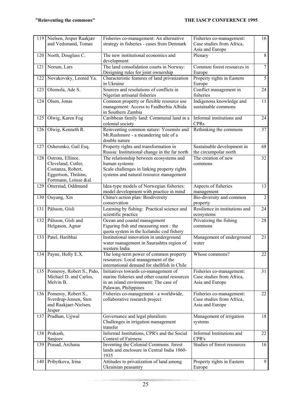| 119 | Nielsen, Jesper Raakjær<br>and Vedsmand, Tomas                                                              | Fisheries co-management: An alternative<br>strategy in fisheries - cases from Denmark                                                                 | Fisheries co-management:<br>Case studies from Africa,<br>Asia and Europe | 16              |
|-----|-------------------------------------------------------------------------------------------------------------|-------------------------------------------------------------------------------------------------------------------------------------------------------|--------------------------------------------------------------------------|-----------------|
| 120 | North, Douglass C.                                                                                          | The new institutional economics and<br>development                                                                                                    | Plenary                                                                  | 8               |
| 121 | Norum, Lars                                                                                                 | The land consolidation courts in Norway:<br>Designing rules for joint ownership                                                                       | Common forest resources in<br>Europe                                     | $\tau$          |
| 122 | Novakovsky, Leonid Ya.                                                                                      | Characteristic features of land privatization<br>in Ukraine                                                                                           | Property rights in Eastern<br>Europe                                     | $\overline{5}$  |
| 123 | Olomola, Ade S.                                                                                             | Sources and resolutions of conflicts in<br>Nigerian artisanal fisheries                                                                               | Conflict management in<br>fisheries                                      | 24              |
| 124 | Olsen, Jonas                                                                                                | Common property or flexible resource use<br>management: Access to Faidherbia Albida<br>in Southern Zambia                                             | Indigenous knowledge and<br>sustainable commons                          | 11              |
| 125 | Olwig, Karen Fog                                                                                            | Caribbean family land: Communal land in a<br>colonial society                                                                                         | Informal institutions and<br><b>CPRs</b>                                 | 24              |
| 126 | Olwig, Kenneth R.                                                                                           | Reinventing common nature: Yosemite and<br>Mt.Rushmore - a meandering tale of a<br>double nature                                                      | Rethinking the commons                                                   | 37              |
| 127 | Osherenko, Gail Esq.                                                                                        | Property rights and transformation in<br>Russia: Institutional change in the far north                                                                | Sustainable development in<br>the circumpolar north                      | 68              |
| 128 | Ostrom, Ellinor,<br>Cleveland, Cutler,<br>Costanza, Robert,<br>Eggertson, Thráinn,<br>Fortmann, Loiuse &al. | The relationship between ecosystems and<br>human systems:<br>Scale challenges in linking property rights<br>systems and natural resource management   | The creation of new<br>commons                                           | $\overline{32}$ |
| 129 | Otterstad, Oddmund                                                                                          | Idea-type models of Norwegian fisheries:<br>model development with practice in mind                                                                   | Aspects of fisheries<br>management                                       | 13              |
| 130 | Ouyang, Xin                                                                                                 | China's action plan: Biodiversity<br>conservation                                                                                                     | Bio-diversity and common<br>property                                     | $\overline{2}$  |
| 131 | Pálsson, Gísli                                                                                              | Learning by fishing: Practical science and<br>scientific practice                                                                                     | Resilience in institutions and<br>ecosystems                             | 24              |
| 132 | Pálsson, Gísli and<br>Helgason, Agnar                                                                       | Ocean and coastal management<br>Figuring fish and measuring men: the<br>quota system in the Icelandic cod fishery                                     | Privatizing the fishing<br>commons                                       | 28              |
| 133 | Patel, Haribhai                                                                                             | Institutional innovation in underground<br>water management in Saurashtra region of<br>western India                                                  | Management of underground<br>water                                       | 21              |
|     | 134 Payne, Holly E.X.                                                                                       | The long-term power of common property<br>resources: Local management of the<br>international demand for shellfish in Chile                           | Whose commons?                                                           | $\overline{22}$ |
|     | 135 Pomeroy, Robert S., Pido,<br>Michael D. and Carlos,<br>Melvin B.                                        | Initiatives towards co-management of<br>marine fisheries and other coastal resources<br>in an island environment: The case of<br>Palawan, Philippines | Fisheries co-management:<br>Case studies from Africa,<br>Asia and Europe | 31              |
|     | 136 Pomeroy, Robert S.,<br>Sverdrup-Jensen, Sten<br>and Raakjaer-Nielsen,<br>Jesper                         | Fisheries co-management - a worldwide,<br>collaborative research project                                                                              | Fisheries co-management:<br>Case studies from Africa,<br>Asia and Europe | 22              |
| 137 | Pradhan, Ujjwal                                                                                             | Governance and legal pluralism:<br>Challenges in irrigation management<br>transfer                                                                    | Management of irrigation<br>systems                                      | 18              |
|     | 138 Prakash,<br>Sanjeev                                                                                     | Informal Institutions, CPR's and the Social<br><b>Context of Fairness</b>                                                                             | Informal Institutions and<br>CPR's                                       | 22              |
| 139 | Prasad, Archana                                                                                             | Inventing the Colonial Commons. forest<br>lands and enclosure in Central India 1860-<br>1935                                                          | Studies of forest resources                                              | 16              |
| 140 | Pribytkova, Irina                                                                                           | Attitudes to privatization of land among<br>Ukrainian peasantry                                                                                       | Property rights in Eastern<br>Europe                                     | 9               |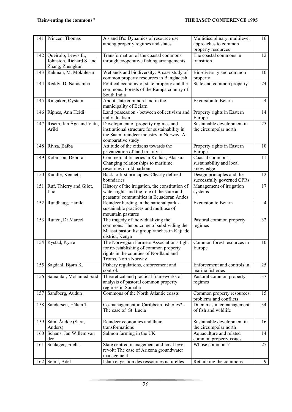|     | 141 Princen, Thomas                                                | A's and B's: Dynamics of resource use<br>among property regimes and states                                                                            | Multidisciplinary, multilevel<br>approaches to common<br>property resources | 16              |
|-----|--------------------------------------------------------------------|-------------------------------------------------------------------------------------------------------------------------------------------------------|-----------------------------------------------------------------------------|-----------------|
| 142 | Queirolo, Lewis E.,<br>Johnston, Richard S. and<br>Zhang, Zhengkun | Transformation of the coastal commons<br>through cooperative fishing arrangements                                                                     | The coastal commons in<br>transition                                        | 12              |
| 143 | Rahman, M. Mokhlesur                                               | Wetlands and biodiversity: A case study of<br>common property resources in Bangladesh                                                                 | Bio-diversity and common<br>property                                        | 10              |
| 144 | Reddy, D. Narasimha                                                | Political economy of state property and the<br>commons: Forests of the Rampa country of<br>South India                                                | State and common property                                                   | 24              |
|     | 145 Ringaker, Øystein                                              | About state common land in the<br>municipality of Beiarn                                                                                              | <b>Excursion</b> to Beiarn                                                  | $\overline{4}$  |
|     | 146 Ripnes, Ann Heidi                                              | Land possession - between collectivism and<br>individualism                                                                                           | Property rights in Eastern<br>Europe                                        | 14              |
|     | 147 Riseth, Jan Åge and Vatn,<br>Arild                             | Development of property regimes and<br>institutional structure for sustainability in<br>the Saami reindeer industry in Norway. A<br>comparative study | Sustainable development in<br>the circumpolar north                         | 25              |
| 148 | Rivza, Baiba                                                       | Attitude of the citizens towards the<br>privatization of land in Latvia                                                                               | Property rights in Eastern<br>Europe                                        | 10              |
| 149 | Robinson, Deborah                                                  | Commercial fisheries in Kodiak, Alaska:<br>Changing relationships to maritime<br>resources in old harbour                                             | Coastal commons,<br>sustainability and local<br>knowledge                   | 11              |
|     | 150 Ruddle, Kenneth                                                | Back to first principles: Clearly defined<br>boundaries                                                                                               | Design principles and the<br>successfully governed CPRs                     | $\overline{12}$ |
| 151 | Ruf, Thierry and Gilot,<br>Luc                                     | History of the irrigation, the constitution of<br>water rights and the role of the state and<br>peasants' communities in Ecuadoran Andes              | Management of irrigation<br>systems                                         | $\overline{17}$ |
| 152 | Rundhaug, Harald                                                   | Reindeer herding in the national park -<br>sustainable practices and multiuse of<br>mountain pastures                                                 | <b>Excursion</b> to Beiarn                                                  | $\overline{4}$  |
| 153 | Rutten, Dr Marcel                                                  | The tragedy of individualizing the<br>commons. The outcome of subdividing the<br>Maasai pastoralist group ranches in Kajiado<br>district, Kenya       | Pastoral common property<br>regimes                                         | 32              |
|     | 154 Rystad, Kyrre                                                  | The Norwegian Farmers Association's fight<br>for re-establishing of common property<br>rights in the counties of Nordland and<br>Troms, North Norway  | Common forest resources in<br>Europe                                        | 10              |
| 155 | Sagdahl, Bjørn K.                                                  | Fishery regulations, enforcement and<br>control.                                                                                                      | Enforcement and controls in<br>marine fisheries                             | 25              |
| 156 | Samantar, Mohamed Said                                             | Theoretical and practical frameworks of<br>analysis of pastoral common property<br>regimes in Somalia                                                 | Pastoral common property<br>regimes                                         | 37              |
| 157 | Sandberg, Audun                                                    | Commons of the North Atlantic coasts                                                                                                                  | Common property resources:<br>problems and conflicts                        | 15              |
| 158 | Sandersen, Håkan T.                                                | Co-management in Caribbean fisheries? -<br>The case of St. Lucia                                                                                      | Dilemmas in comanagement<br>of fish and wildlife                            | 34              |
| 159 | Sárá, Andde (Sara,<br>Anders)                                      | Reindeer economics and their<br>transformations                                                                                                       | Sustainable development in<br>the circumpolar north                         | 16              |
| 160 | Schans, Jan Willem van<br>der                                      | Salmon farming in the UK                                                                                                                              | Aquaculture and related<br>common property issues                           | 14              |
| 161 | Schlager, Edella                                                   | State centred management and local level<br>revolt: The case of Arizona groundwater<br>management                                                     | Whose commons?                                                              | 27              |
|     | 162 Selmi, Adel                                                    | Islam et gestion des ressources naturelles                                                                                                            | Rethinking the commons                                                      | 9               |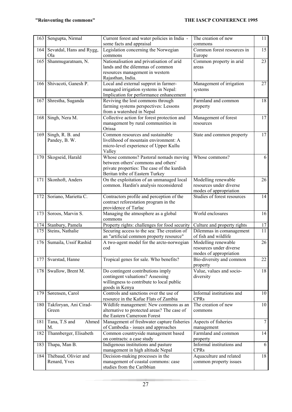| 163 | Sengupta, Nirmal                         | Current forest and water policies in India -                                                                                                                   | The creation of new                                                      | 11              |
|-----|------------------------------------------|----------------------------------------------------------------------------------------------------------------------------------------------------------------|--------------------------------------------------------------------------|-----------------|
|     |                                          | some facts and appraisal                                                                                                                                       | commons                                                                  |                 |
| 164 | Sevatdal, Hans and Rygg,<br>Ola          | Legislation concerning the Norwegian<br>commons                                                                                                                | Common forest resources in<br>Europe                                     | 15              |
| 165 | Shanmugaratnam, N.                       | Nationalisation and privatisation of arid<br>lands and the dilemmas of common<br>resources management in western<br>Rajasthan, India.                          | Common property in arid<br>areas                                         | 23              |
| 166 | Shivacoti, Ganesh P.                     | Local and external supprot in farmer-<br>managed irrigation systems in Nepal:<br>Implication for performance enhancement                                       | Management of irrigation<br>systems                                      | 27              |
| 167 | Shrestha, Suganda                        | Reviving the lost commons through<br>farming systems perspectives: Lessons<br>from a watershed in Nepal                                                        | Farmland and common<br>property                                          | 18              |
| 168 | Singh, Nera M.                           | Collective action for forest protection and<br>management by rural communities in<br>Orissa                                                                    | Management of forest<br>resources                                        | 17              |
| 169 | Singh, R. B. and<br>Pandey, B. W.        | Common resources and sustainable<br>livelihood of mountain environment: A<br>micro-level experience of Upper Kullu<br>Valley                                   | State and common property                                                | 17              |
| 170 | Skogseid, Harald                         | Whose commons? Pastoral nomads moving<br>between others' commons and others'<br>private properties: The case of the kurdish<br>Beritan tribe of Eastern Turkey | Whose commons?                                                           | 6               |
| 171 | Skonhoft, Anders                         | On the exploitation of an unmanaged local<br>common. Hardin's analysis reconsidered                                                                            | Modelling renewable<br>resources under diverse<br>modes of appropriation | 26              |
| 172 | Soriano, Marietta C.                     | Contractors profile and perception of the<br>contract reforestation program in the<br>providence of Tarlac                                                     | Studies of forest resources                                              | 14              |
| 173 | Soroos, Marvin S.                        | Managing the atmosphere as a global<br>commons                                                                                                                 | World enclosures                                                         | 16              |
| 174 | Stanbury, Pamela                         | Property rights: challenges for food security                                                                                                                  | Culture and property rights                                              | 17              |
| 175 | Steins, Nathalie                         | Securing access to the sea: The creation of<br>an "artificial common property resource"                                                                        | Dilemmas in comanagement<br>of fish and wildlife                         | 11              |
| 176 | Sumaila, Ussif Rashid                    | A two-agent model for the arcto-norwegian<br>cod                                                                                                               | Modelling renewable<br>resources under diverse<br>modes of appropriation | 26              |
| 177 | Svarstad, Hanne                          | Tropical genes for sale. Who benefits?                                                                                                                         | Bio-diversity and common<br>property                                     | 22              |
| 178 | Swallow, Brent M.                        | Do contingent contributions imply<br>contingent valuations? Assessing<br>willingness to contribute to local public<br>goods in Kenya                           | Value, values and socio-<br>diversity                                    | 18              |
| 179 | Sørensen, Carol                          | Controls and sanctions over the use of<br>resource in the Kafue Flats of Zambia                                                                                | Informal institutions and<br><b>CPRs</b>                                 | 10              |
| 180 | Takforyan, Ani Cirad-<br>Green           | Wildlife management: New commons as an<br>alternative to protected areas? The case of<br>the Eastern Cameroon Forest                                           | The creation of new<br>commons                                           | 10 <sup>1</sup> |
| 181 | Tana, T.S and<br>Ahmed<br>M.             | Management of freshwater capture fisheries<br>of Cambodia - issues and approaches                                                                              | Aspects of fisheries<br>management                                       | $\tau$          |
| 182 | Thannberger, Elisabeth                   | Common countryside management based<br>on contracts: a case study                                                                                              | Farmland and common<br>property                                          | 14              |
| 183 | Thapa, Man B.                            | Indigenous institutions and pasture<br>management in high altitude Nepal                                                                                       | Informal institutions and<br><b>CPRs</b>                                 | 6               |
|     | 184 Thébaud, Olivier and<br>Renard, Yves | Decision-making processes in the<br>management of coastal commons: case<br>studies from the Caribbian                                                          | Aquaculture and related<br>common property issues                        | 18              |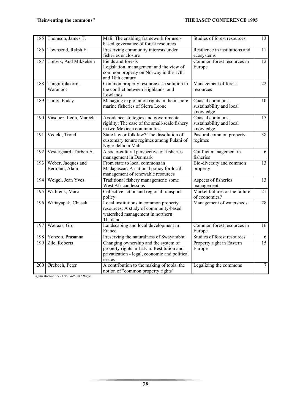| 185 | Thomson, James T.                     | Mali: The enabling framework for user-<br>based governance of forest resources                                                                | Studies of forest resources                               | $\overline{13}$ |
|-----|---------------------------------------|-----------------------------------------------------------------------------------------------------------------------------------------------|-----------------------------------------------------------|-----------------|
| 186 | Townsend, Ralph E.                    | Preserving community interests under<br>fisheries enclosure                                                                                   | Resilience in institutions and<br>ecosystems              | 11              |
| 187 | Tretvik, Aud Mikkelsen                | Fields and forests<br>Legislation, management and the view of<br>common property on Norway in the 17th<br>and 18th century                    | Common forest resources in<br>Europe                      | 12              |
| 188 | Tungittiplakorn,<br>Waranoot          | Common property resource as a solution to<br>the conflict between Highlands and<br>Lowlands                                                   | Management of forest<br>resources                         | 22              |
| 189 | Turay, Foday                          | Managing exploitation rights in the inshore<br>marine fisheries of Sierra Leone                                                               | Coastal commons,<br>sustainability and local<br>knowledge | 10              |
| 190 | Vásquez León, Marcela                 | Avoidance strategies and governmental<br>rigidity: The case of the small-scale fishery<br>in two Mexican communities                          | Coastal commons,<br>sustainability and local<br>knowledge | 15              |
| 191 | Vedeld, Trond                         | State law or folk law? The dissolution of<br>customary tenure regimes among Fulani of<br>Niger delta in Mali                                  | Pastoral common property<br>regimes                       | 38              |
| 192 | Vestergaard, Torben A.                | A socio-cultural perspective on fisheries<br>management in Denmark                                                                            | Conflict management in<br>fisheries                       | 6               |
| 193 | Weber, Jacques and<br>Bertrand, Alain | From state to local commons in<br>Madagascar: A national policy for local<br>management of renewable resources                                | Bio-diversity and common<br>property                      | 13              |
| 194 | Weigel, Jean Yves                     | Traditional fishery management: some<br>West African lessons                                                                                  | Aspects of fisheries<br>management                        | 13              |
| 195 | Witbreuk, Marc                        | Collective action and regional transport<br>policy                                                                                            | Market failures or the failure<br>of economics?           | 21              |
| 196 | Wittayapak, Chusak                    | Local institutions in common property<br>resources: A study of community-based<br>watershed management in northern<br>Thailand                | Management of watersheds                                  | 28              |
| 197 | Wæraas, Gro                           | Landscaping and local development in<br>France                                                                                                | Common forest resources in<br>Europe                      | 16              |
| 198 | Yonzon, Prasanna                      | Preserving the naturalness of Swayambhu                                                                                                       | Studies of forest resources                               | 6               |
| 199 | Zile, Roberts                         | Changing ownership and the system of<br>property rights in Latvia: Restitution and<br>privatization - legal, economic and political<br>issues | Property right in Eastern<br>Europe                       | $\overline{15}$ |
| 200 | Ørebech, Peter                        | A contribution to the making of tools: the<br>notion of "common property rights"                                                              | Legalizing the commons                                    | $\overline{7}$  |

*Kjetil Breivik 29.11.95 960228 EBerge*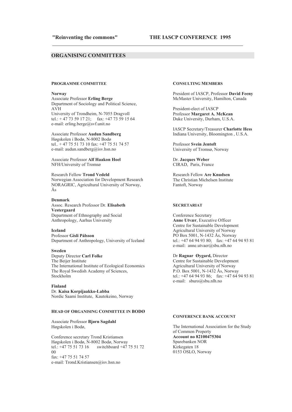<u> 1989 - Johann Barbara, marka a shekara tsa 1989 - An tsa 1989 - An tsa 1989 - An tsa 1989 - An tsa 1989 - An</u>

#### **25 ORGANISING COMMITTEES**

#### **PROGRAMME COMMITTEE**

#### **Norway**

**Associate Professor Erling Berge** Department of Sociology and Political Science,  $AVH$ University of Trondheim, N-7055 Dragvoll tel.: + 47 73 59 17 21; fax: +47 73 59 15 64 e-mail: erling.berge@svf.unit.no

#### Associate Professor Audun Sandberg Høgskolen i Bodø, N-8002 Bodø

tel.. + 47 75 51 73 10 fax: +47 75 51 74 57 e-mail: audun.sandberg@isv.hsn.no

Associate Professor Alf Haakon Hoel NFH/University of Tromsø

**Research Fellow Trond Vedeld** Norwegian Association for Development Research NORAGRIC, Agricultural University of Norway,  $\AA$ s

#### Denmark

Assoc. Research Professor Dr. Elisabeth **Vestergaard** Department of Ethnography and Social Anthropology, Aarhus University

#### Leeland

Professor Gísli Pálsson Department of Anthropology, University of Iceland

#### **Sweden**

Deputy Director Carl Folke The Beijer Institute The International Institute of Ecological Economics The Royal Swedish Academy of Sciences, Stockholm

#### **Einland**

Dr. Kaisa Korpijaakko-Labba Nordic Saami Institute, Kautokeino, Norway

#### **HEAD OF ORGANISING COMMITTEE IN BODØ**

Associate Professor Bjørn Sagdahl Høgskolen i Bodø,

Conference secretary Trond Kristiansen Høgskolen i Bodø, N-8002 Bodø, Norway tel.:  $+4775517316$  switchboard  $+47755172$  $0<sup>0</sup>$  $\text{fax: } +4775517457$ e-mail: Trond.Kristiansen@isv.hsn.no

#### **CONSULTING MEMBERS**

President of IASCP, Professor David Feeny McMaster University, Hamilton, Canada

President-elect of IASCP Professor Margaret A. McKean Duke University, Durham, U.S.A.

**IASCP Secretary/Treasurer Charlotte Hess** Indiana University, Bloomington, U.S.A.

Professor Svein Jentoft University of Tromsø, Norway

Dr. Jacques Weber CIRAD, Paris, France

Research Fellow Are Knudsen The Christian Michelsen Institute Fantoft, Norway

#### **SECRETARIAT**

Conference Secretary **Anne Utvær**, Executive Officer Centre for Sustainable Development Agricultural University of Norway PO Box 5001, N-1432 Ås, Norway tel.: +47 64 94 93 80:  $\arctan 47$  64 94 93 81 e-mail: anne.utvaer@sbu.nlh.no

Dr Ragnar Øygard, Director Centre for Sustainable Development Agricultural University of Norway  $\overline{P.0}$ . Box 5001, N-1432 Ås, Norway tel.: +47 64 94 93 86; fax: +47 64 94 93 81 e-mail: sburo@sbu.nlh.no

#### **CONFERENCE BANK ACCOUNT**

The International Association for the Study of Common Property **Account no 82100475304** Sparebanken NOR Kirkegaten 18 0153 OSLO, Norway